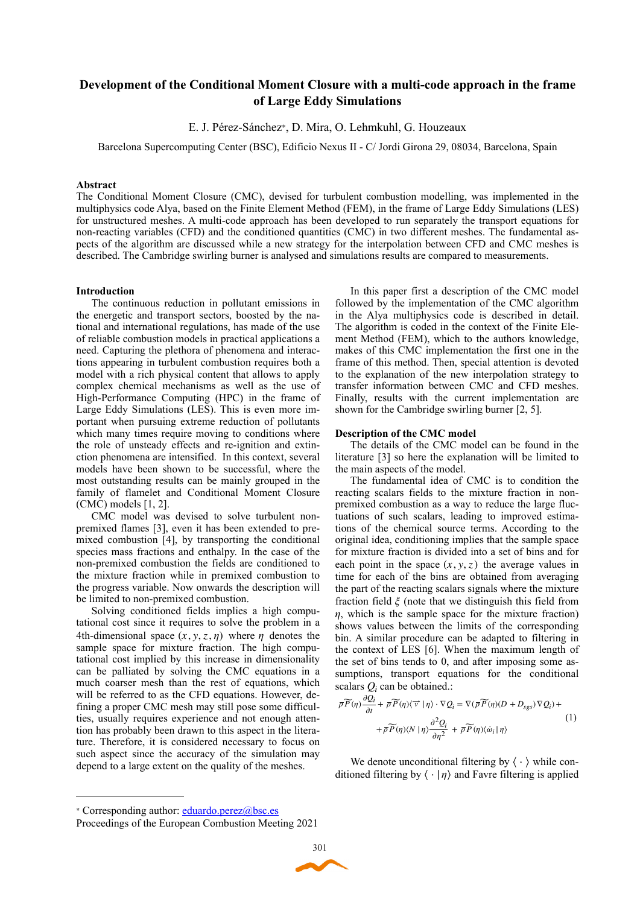# **Development of the Conditional Moment Closure with a multi-code approach in the frame of Large Eddy Simulations**

E. J. Pérez-Sánchez∗, D. Mira, O. Lehmkuhl, G. Houzeaux

Barcelona Supercomputing Center (BSC), Edificio Nexus II - C/ Jordi Girona 29, 08034, Barcelona, Spain

## **Abstract**

The Conditional Moment Closure (CMC), devised for turbulent combustion modelling, was implemented in the multiphysics code Alya, based on the Finite Element Method (FEM), in the frame of Large Eddy Simulations (LES) for unstructured meshes. A multi-code approach has been developed to run separately the transport equations for non-reacting variables (CFD) and the conditioned quantities (CMC) in two different meshes. The fundamental aspects of the algorithm are discussed while a new strategy for the interpolation between CFD and CMC meshes is described. The Cambridge swirling burner is analysed and simulations results are compared to measurements.

## **Introduction**

The continuous reduction in pollutant emissions in the energetic and transport sectors, boosted by the national and international regulations, has made of the use of reliable combustion models in practical applications a need. Capturing the plethora of phenomena and interactions appearing in turbulent combustion requires both a model with a rich physical content that allows to apply complex chemical mechanisms as well as the use of High-Performance Computing (HPC) in the frame of Large Eddy Simulations (LES). This is even more important when pursuing extreme reduction of pollutants which many times require moving to conditions where the role of unsteady effects and re-ignition and extinction phenomena are intensified. In this context, several models have been shown to be successful, where the most outstanding results can be mainly grouped in the family of flamelet and Conditional Moment Closure (CMC) models [1, 2].

CMC model was devised to solve turbulent nonpremixed flames [3], even it has been extended to premixed combustion [4], by transporting the conditional species mass fractions and enthalpy. In the case of the non-premixed combustion the fields are conditioned to the mixture fraction while in premixed combustion to the progress variable. Now onwards the description will be limited to non-premixed combustion.

Solving conditioned fields implies a high computational cost since it requires to solve the problem in a 4th-dimensional space  $(x, y, z, \eta)$  where  $\eta$  denotes the sample space for mixture fraction. The high computational cost implied by this increase in dimensionality can be palliated by solving the CMC equations in a much coarser mesh than the rest of equations, which will be referred to as the CFD equations. However, defining a proper CMC mesh may still pose some difficulties, usually requires experience and not enough attention has probably been drawn to this aspect in the literature. Therefore, it is considered necessary to focus on such aspect since the accuracy of the simulation may depend to a large extent on the quality of the meshes.

In this paper first a description of the CMC model followed by the implementation of the CMC algorithm in the Alya multiphysics code is described in detail. The algorithm is coded in the context of the Finite Element Method (FEM), which to the authors knowledge, makes of this CMC implementation the first one in the frame of this method. Then, special attention is devoted to the explanation of the new interpolation strategy to transfer information between CMC and CFD meshes. Finally, results with the current implementation are shown for the Cambridge swirling burner [2, 5].

#### **Description of the CMC model**

The details of the CMC model can be found in the literature [3] so here the explanation will be limited to the main aspects of the model.

The fundamental idea of CMC is to condition the reacting scalars fields to the mixture fraction in nonpremixed combustion as a way to reduce the large fluctuations of such scalars, leading to improved estimations of the chemical source terms. According to the original idea, conditioning implies that the sample space for mixture fraction is divided into a set of bins and for each point in the space  $(x, y, z)$  the average values in time for each of the bins are obtained from averaging the part of the reacting scalars signals where the mixture fraction field  $\xi$  (note that we distinguish this field from  $\eta$ , which is the sample space for the mixture fraction) shows values between the limits of the corresponding bin. A similar procedure can be adapted to filtering in the context of LES [6]. When the maximum length of the set of bins tends to 0, and after imposing some assumptions, transport equations for the conditional scalars  $Q_i$  can be obtained.:

$$
\overline{\rho}\overline{\widetilde{P}}(\eta)\frac{\partial Q_i}{\partial t} + \overline{\rho}\widetilde{P}(\eta)\langle \overrightarrow{v} | \eta \rangle \cdot \nabla Q_i = \nabla(\overline{\rho}\widetilde{P}(\eta)(D + D_{sgs})\nabla Q_i) + \n+ \overline{\rho}\widetilde{P}(\eta)\langle N | \eta \rangle \frac{\partial^2 Q_i}{\partial \eta^2} + \overline{\rho}\widetilde{P}(\eta)\langle \dot{\omega}_i | \eta \rangle
$$
\n(1)

We denote unconditional filtering by  $\langle \cdot \rangle$  while conditioned filtering by  $\langle \cdot | \eta \rangle$  and Favre filtering is applied

Corresponding author: eduardo.perez@bsc.es <sup>∗</sup>

Proceedings of the European Combustion Meeting 2021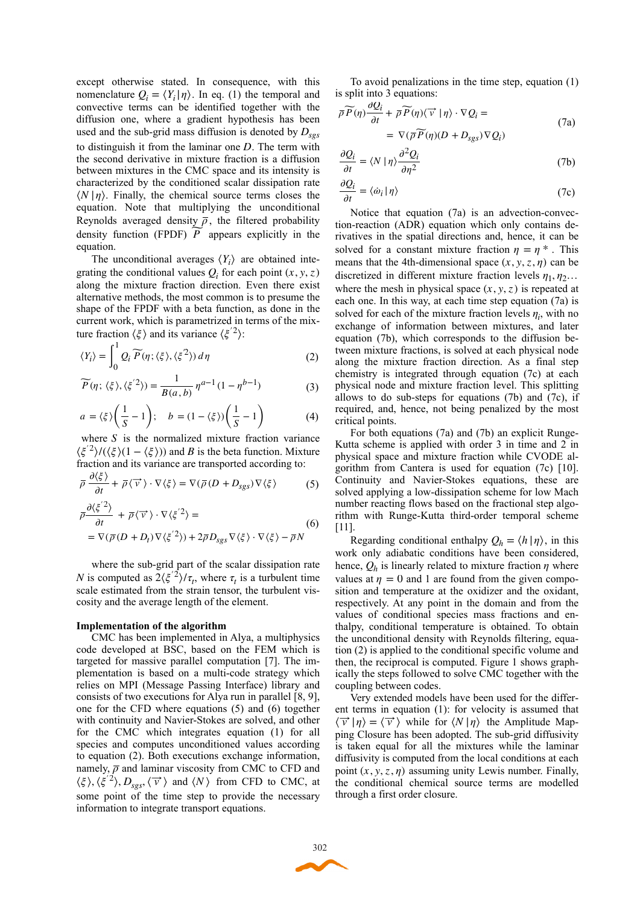except otherwise stated. In consequence, with this nomenclature  $Q_i = \langle Y_i | \eta \rangle$ . In eq. (1) the temporal and convective terms can be identified together with the diffusion one, where a gradient hypothesis has been used and the sub-grid mass diffusion is denoted by  $D_{sgs}$ to distinguish it from the laminar one  $D$ . The term with the second derivative in mixture fraction is a diffusion between mixtures in the CMC space and its intensity is characterized by the conditioned scalar dissipation rate . Finally, the chemical source terms closes the ⟨*N* |*η*⟩ equation. Note that multiplying the unconditional Reynolds averaged density  $\overline{\rho}$ , the filtered probability density function (FPDF)  $\widetilde{P}$  appears explicitly in the equation.

The unconditional averages  $\langle Y_i \rangle$  are obtained integrating the conditional values  $Q_i$  for each point  $(x, y, z)$ along the mixture fraction direction. Even there exist alternative methods, the most common is to presume the shape of the FPDF with a beta function, as done in the current work, which is parametrized in terms of the mixture fraction  $\langle \xi \rangle$  and its variance  $\langle \xi^2 \rangle$ :

$$
\langle Y_i \rangle = \int_0^1 Q_i \widetilde{P}(\eta; \langle \xi \rangle, \langle \xi^2 \rangle) d\eta \tag{2}
$$

$$
\widetilde{P}(\eta; \langle \xi \rangle, \langle \xi^{'2} \rangle) = \frac{1}{B(a, b)} \eta^{a-1} (1 - \eta^{b-1})
$$
 (3)

$$
a = \langle \xi \rangle \left( \frac{1}{S} - 1 \right); \quad b = (1 - \langle \xi \rangle) \left( \frac{1}{S} - 1 \right)
$$
 (4)

where  $S$  is the normalized mixture fraction variance *(ξ*<sup>'2</sup>)/( $\langle$ *ξ*)(1 −  $\langle$ *ξ*))) and *B* is the beta function. Mixture fraction and its variance are transported according to:

$$
\overline{\rho} \frac{\partial \langle \xi \rangle}{\partial t} + \overline{\rho} \langle \overrightarrow{v} \rangle \cdot \nabla \langle \xi \rangle = \nabla (\overline{\rho} (D + D_{sgs}) \nabla \langle \xi \rangle)
$$
 (5)

$$
\overline{\rho} \frac{\partial \langle \xi^2 \rangle}{\partial t} + \overline{\rho} \langle \overrightarrow{v} \rangle \cdot \nabla \langle \xi^2 \rangle =
$$
\n
$$
= \nabla (\overline{\rho} (D + D_t) \nabla \langle \xi^2 \rangle) + 2 \overline{\rho} D_{sgs} \nabla \langle \xi \rangle \cdot \nabla \langle \xi \rangle - \overline{\rho} N
$$
\n(6)

where the sub-grid part of the scalar dissipation rate *N* is computed as  $2\langle \xi^2 \rangle / \tau_t$ , where  $\tau_t$  is a turbulent time scale estimated from the strain tensor, the turbulent viscosity and the average length of the element.

#### **Implementation of the algorithm**

CMC has been implemented in Alya, a multiphysics code developed at BSC, based on the FEM which is targeted for massive parallel computation [7]. The implementation is based on a multi-code strategy which relies on MPI (Message Passing Interface) library and consists of two executions for Alya run in parallel [8, 9], one for the CFD where equations (5) and (6) together with continuity and Navier-Stokes are solved, and other for the CMC which integrates equation (1) for all species and computes unconditioned values according to equation (2). Both executions exchange information, namely,  $\bar{\rho}$  and laminar viscosity from CMC to CFD and  $\langle \xi \rangle$ ,  $\langle \xi^2 \rangle$ , *D<sub>sgs</sub>*,  $\langle \vec{v} \rangle$  and  $\langle N \rangle$  from CFD to CMC, at some point of the time step to provide the necessary information to integrate transport equations.

To avoid penalizations in the time step, equation (1) is split into 3 equations: ∂*Qi*

$$
\overline{\rho}\overline{P}(\eta)\frac{\partial Q_i}{\partial t} + \overline{\rho}\overline{P}(\eta)\langle \overline{\nu} | \eta \rangle \cdot \nabla Q_i =
$$
\n
$$
= \nabla(\overline{\rho}\overline{P}(\eta)(D + D_{sgs})\nabla Q_i)
$$
\n(7a)

$$
\frac{\partial Q_i}{\partial t} = \langle N | \eta \rangle \frac{\partial^2 Q_i}{\partial \eta^2}
$$
 (7b)

$$
\frac{\partial Q_i}{\partial t} = \langle \dot{\omega}_i | \eta \rangle \tag{7c}
$$

Notice that equation (7a) is an advection-convection-reaction (ADR) equation which only contains derivatives in the spatial directions and, hence, it can be solved for a constant mixture fraction  $\eta = \eta^*$ . This means that the 4th-dimensional space  $(x, y, z, \eta)$  can be discretized in different mixture fraction levels  $\eta_1, \eta_2$ ... where the mesh in physical space  $(x, y, z)$  is repeated at each one. In this way, at each time step equation (7a) is solved for each of the mixture fraction levels  $\eta_i$ , with no exchange of information between mixtures, and later equation (7b), which corresponds to the diffusion between mixture fractions, is solved at each physical node along the mixture fraction direction. As a final step chemistry is integrated through equation (7c) at each physical node and mixture fraction level. This splitting allows to do sub-steps for equations  $(7b)$  and  $(7c)$ , if required, and, hence, not being penalized by the most critical points.

For both equations (7a) and (7b) an explicit Runge-Kutta scheme is applied with order 3 in time and 2 in physical space and mixture fraction while CVODE algorithm from Cantera is used for equation (7c) [10]. Continuity and Navier-Stokes equations, these are solved applying a low-dissipation scheme for low Mach number reacting flows based on the fractional step algorithm with Runge-Kutta third-order temporal scheme [11].

Regarding conditional enthalpy  $Q_h = \langle h | \eta \rangle$ , in this work only adiabatic conditions have been considered, hence,  $Q_h$  is linearly related to mixture fraction  $\eta$  where values at  $\eta = 0$  and 1 are found from the given composition and temperature at the oxidizer and the oxidant, respectively. At any point in the domain and from the values of conditional species mass fractions and enthalpy, conditional temperature is obtained. To obtain the unconditional density with Reynolds filtering, equation (2) is applied to the conditional specific volume and then, the reciprocal is computed. Figure 1 shows graphically the steps followed to solve CMC together with the coupling between codes.

Very extended models have been used for the different terms in equation (1): for velocity is assumed that  $\langle \vec{v} | \eta \rangle = \langle \vec{v} \rangle$  while for  $\langle N | \eta \rangle$  the Amplitude Mapping Closure has been adopted. The sub-grid diffusivity is taken equal for all the mixtures while the laminar diffusivity is computed from the local conditions at each point  $(x, y, z, \eta)$  assuming unity Lewis number. Finally, the conditional chemical source terms are modelled through a first order closure.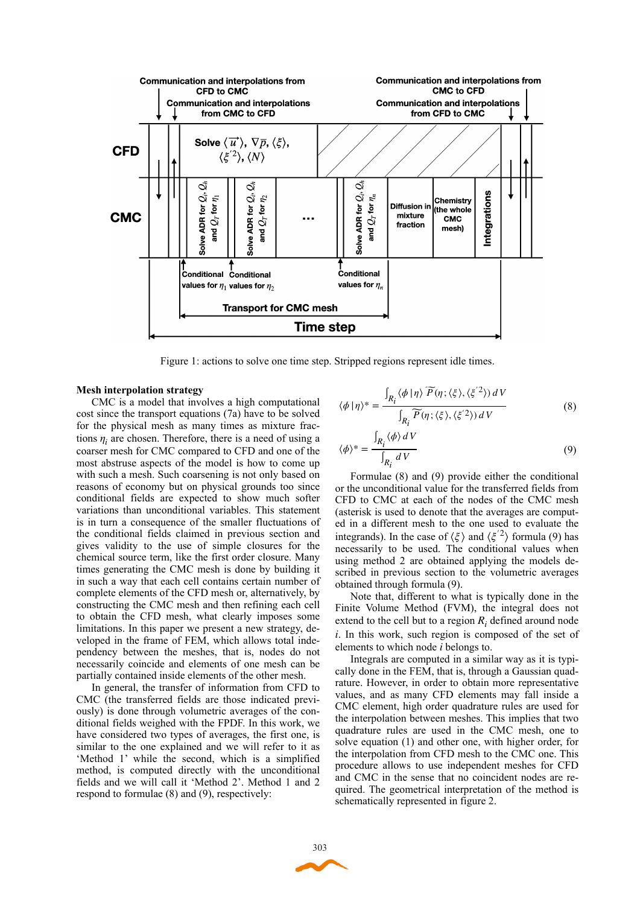

Figure 1: actions to solve one time step. Stripped regions represent idle times.

#### **Mesh interpolation strategy**

CMC is a model that involves a high computational cost since the transport equations (7a) have to be solved for the physical mesh as many times as mixture fractions  $\eta_i$  are chosen. Therefore, there is a need of using a coarser mesh for CMC compared to CFD and one of the most abstruse aspects of the model is how to come up with such a mesh. Such coarsening is not only based on reasons of economy but on physical grounds too since conditional fields are expected to show much softer variations than unconditional variables. This statement is in turn a consequence of the smaller fluctuations of the conditional fields claimed in previous section and gives validity to the use of simple closures for the chemical source term, like the first order closure. Many times generating the CMC mesh is done by building it in such a way that each cell contains certain number of complete elements of the CFD mesh or, alternatively, by constructing the CMC mesh and then refining each cell to obtain the CFD mesh, what clearly imposes some limitations. In this paper we present a new strategy, developed in the frame of FEM, which allows total independency between the meshes, that is, nodes do not necessarily coincide and elements of one mesh can be partially contained inside elements of the other mesh.

In general, the transfer of information from CFD to CMC (the transferred fields are those indicated previously) is done through volumetric averages of the conditional fields weighed with the FPDF. In this work, we have considered two types of averages, the first one, is similar to the one explained and we will refer to it as 'Method 1' while the second, which is a simplified method, is computed directly with the unconditional fields and we will call it 'Method 2'. Method 1 and 2 respond to formulae (8) and (9), respectively:

$$
\langle \phi | \eta \rangle^* = \frac{\int_{R_i} \langle \phi | \eta \rangle \widetilde{P}(\eta; \langle \xi \rangle, \langle \xi^{\prime 2} \rangle) dV}{\int_{R_i} \widetilde{P}(\eta; \langle \xi \rangle, \langle \xi^{\prime 2} \rangle) dV}
$$
(8)

$$
\langle \phi \rangle^* = \frac{\int_{R_i} \langle \phi \rangle \, dV}{\int_{R_i} \, dV} \tag{9}
$$

Formulae (8) and (9) provide either the conditional or the unconditional value for the transferred fields from CFD to CMC at each of the nodes of the CMC mesh (asterisk is used to denote that the averages are computed in a different mesh to the one used to evaluate the integrands). In the case of  $\langle \xi \rangle$  and  $\langle \xi^2 \rangle$  formula (9) has necessarily to be used. The conditional values when using method 2 are obtained applying the models described in previous section to the volumetric averages obtained through formula (9).

Note that, different to what is typically done in the Finite Volume Method (FVM), the integral does not extend to the cell but to a region  $R_i$  defined around node . In this work, such region is composed of the set of *i* elements to which node *i* belongs to.

Integrals are computed in a similar way as it is typically done in the FEM, that is, through a Gaussian quadrature. However, in order to obtain more representative values, and as many CFD elements may fall inside a CMC element, high order quadrature rules are used for the interpolation between meshes. This implies that two quadrature rules are used in the CMC mesh, one to solve equation (1) and other one, with higher order, for the interpolation from CFD mesh to the CMC one. This procedure allows to use independent meshes for CFD and CMC in the sense that no coincident nodes are required. The geometrical interpretation of the method is schematically represented in figure 2.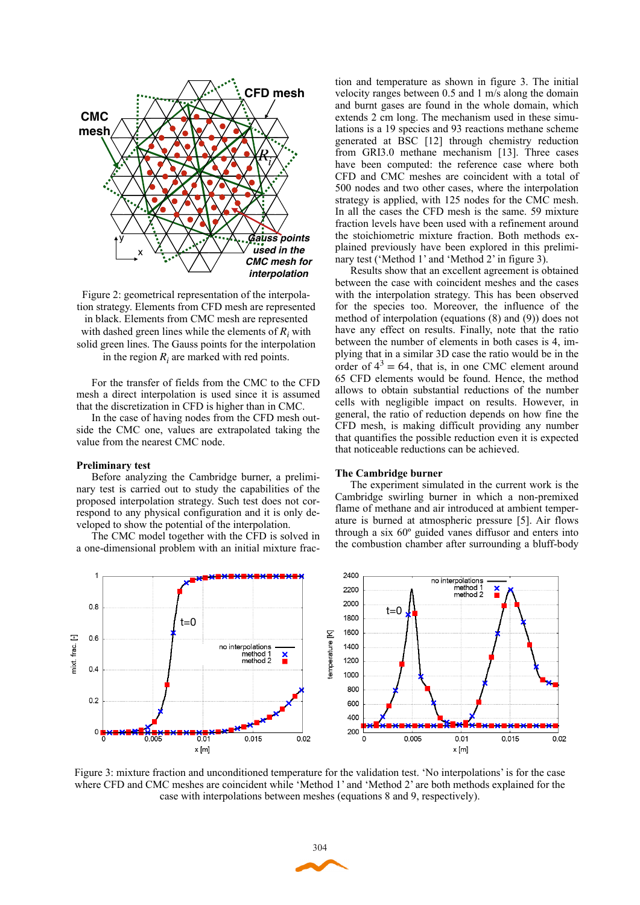

Figure 2: geometrical representation of the interpolation strategy. Elements from CFD mesh are represented in black. Elements from CMC mesh are represented with dashed green lines while the elements of  $R_i$  with solid green lines. The Gauss points for the interpolation in the region  $R_i$  are marked with red points.

For the transfer of fields from the CMC to the CFD mesh a direct interpolation is used since it is assumed that the discretization in CFD is higher than in CMC.

In the case of having nodes from the CFD mesh outside the CMC one, values are extrapolated taking the value from the nearest CMC node.

### **Preliminary test**

 $\overline{1}$ 

 $0.8$ 

 $0.2$ 

 $0\frac{1}{0}$ 

 $0.005$ 

 $\Xi$  $06$ 

frac.

nixt.  $04$ 

Before analyzing the Cambridge burner, a preliminary test is carried out to study the capabilities of the proposed interpolation strategy. Such test does not correspond to any physical configuration and it is only developed to show the potential of the interpolation.

The CMC model together with the CFD is solved in a one-dimensional problem with an initial mixture frac-

 $t=0$ 

 $\overline{001}$ 

x [m]

no interpolations method 1<br>method 2

 $0.015$ 

tion and temperature as shown in figure 3. The initial velocity ranges between 0.5 and 1 m/s along the domain and burnt gases are found in the whole domain, which extends 2 cm long. The mechanism used in these simulations is a 19 species and 93 reactions methane scheme generated at BSC [12] through chemistry reduction from GRI3.0 methane mechanism [13]. Three cases have been computed: the reference case where both CFD and CMC meshes are coincident with a total of 500 nodes and two other cases, where the interpolation strategy is applied, with 125 nodes for the CMC mesh. In all the cases the CFD mesh is the same. 59 mixture fraction levels have been used with a refinement around the stoichiometric mixture fraction. Both methods explained previously have been explored in this preliminary test ('Method 1' and 'Method 2' in figure 3).

Results show that an excellent agreement is obtained between the case with coincident meshes and the cases with the interpolation strategy. This has been observed for the species too. Moreover, the influence of the method of interpolation (equations (8) and (9)) does not have any effect on results. Finally, note that the ratio between the number of elements in both cases is 4, implying that in a similar 3D case the ratio would be in the order of  $4^3 = 64$ , that is, in one CMC element around 65 CFD elements would be found. Hence, the method allows to obtain substantial reductions of the number cells with negligible impact on results. However, in general, the ratio of reduction depends on how fine the CFD mesh, is making difficult providing any number that quantifies the possible reduction even it is expected that noticeable reductions can be achieved.

### **The Cambridge burner**

The experiment simulated in the current work is the Cambridge swirling burner in which a non-premixed flame of methane and air introduced at ambient temperature is burned at atmospheric pressure [5]. Air flows through a six 60º guided vanes diffusor and enters into the combustion chamber after surrounding a bluff-body



Figure 3: mixture fraction and unconditioned temperature for the validation test. 'No interpolations' is for the case where CFD and CMC meshes are coincident while 'Method 1' and 'Method 2' are both methods explained for the case with interpolations between meshes (equations 8 and 9, respectively).

 $0.02$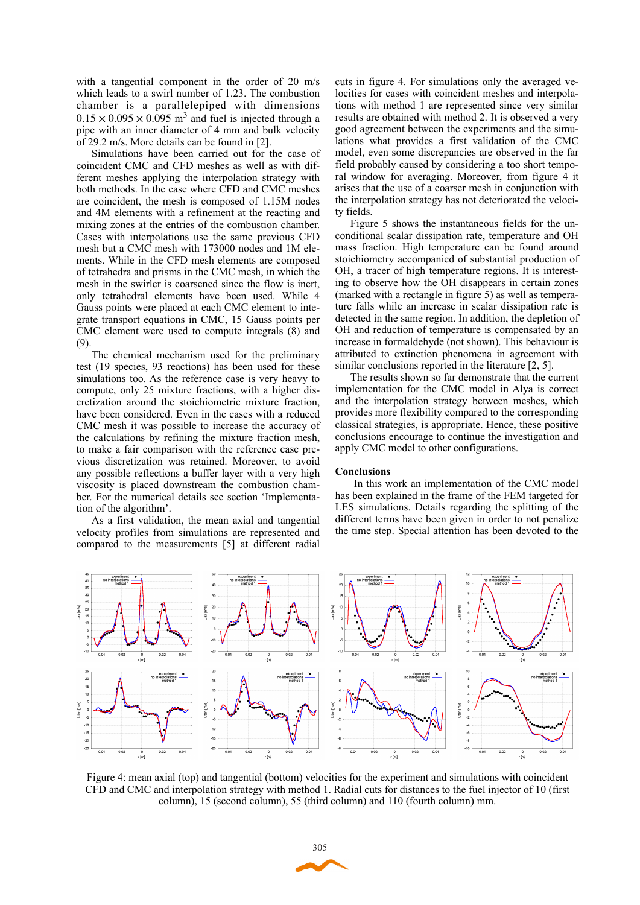with a tangential component in the order of 20 m/s which leads to a swirl number of 1.23. The combustion chamber is a parallelepiped with dimensions  $0.15 \times 0.095 \times 0.095$  m<sup>3</sup> and fuel is injected through a pipe with an inner diameter of 4 mm and bulk velocity of 29.2 m/s. More details can be found in [2].

Simulations have been carried out for the case of coincident CMC and CFD meshes as well as with different meshes applying the interpolation strategy with both methods. In the case where CFD and CMC meshes are coincident, the mesh is composed of 1.15M nodes and 4M elements with a refinement at the reacting and mixing zones at the entries of the combustion chamber. Cases with interpolations use the same previous CFD mesh but a CMC mesh with 173000 nodes and 1M elements. While in the CFD mesh elements are composed of tetrahedra and prisms in the CMC mesh, in which the mesh in the swirler is coarsened since the flow is inert, only tetrahedral elements have been used. While 4 Gauss points were placed at each CMC element to integrate transport equations in CMC, 15 Gauss points per CMC element were used to compute integrals (8) and (9).

The chemical mechanism used for the preliminary test (19 species, 93 reactions) has been used for these simulations too. As the reference case is very heavy to compute, only 25 mixture fractions, with a higher discretization around the stoichiometric mixture fraction, have been considered. Even in the cases with a reduced CMC mesh it was possible to increase the accuracy of the calculations by refining the mixture fraction mesh, to make a fair comparison with the reference case previous discretization was retained. Moreover, to avoid any possible reflections a buffer layer with a very high viscosity is placed downstream the combustion chamber. For the numerical details see section 'Implementation of the algorithm'.

As a first validation, the mean axial and tangential velocity profiles from simulations are represented and compared to the measurements [5] at different radial cuts in figure 4. For simulations only the averaged velocities for cases with coincident meshes and interpolations with method 1 are represented since very similar results are obtained with method 2. It is observed a very good agreement between the experiments and the simulations what provides a first validation of the CMC model, even some discrepancies are observed in the far field probably caused by considering a too short temporal window for averaging. Moreover, from figure 4 it arises that the use of a coarser mesh in conjunction with the interpolation strategy has not deteriorated the velocity fields.

Figure 5 shows the instantaneous fields for the unconditional scalar dissipation rate, temperature and OH mass fraction. High temperature can be found around stoichiometry accompanied of substantial production of OH, a tracer of high temperature regions. It is interesting to observe how the OH disappears in certain zones (marked with a rectangle in figure 5) as well as temperature falls while an increase in scalar dissipation rate is detected in the same region. In addition, the depletion of OH and reduction of temperature is compensated by an increase in formaldehyde (not shown). This behaviour is attributed to extinction phenomena in agreement with similar conclusions reported in the literature [2, 5].

The results shown so far demonstrate that the current implementation for the CMC model in Alya is correct and the interpolation strategy between meshes, which provides more flexibility compared to the corresponding classical strategies, is appropriate. Hence, these positive conclusions encourage to continue the investigation and apply CMC model to other configurations.

#### **Conclusions**

 In this work an implementation of the CMC model has been explained in the frame of the FEM targeted for LES simulations. Details regarding the splitting of the different terms have been given in order to not penalize the time step. Special attention has been devoted to the



Figure 4: mean axial (top) and tangential (bottom) velocities for the experiment and simulations with coincident CFD and CMC and interpolation strategy with method 1. Radial cuts for distances to the fuel injector of 10 (first column), 15 (second column), 55 (third column) and 110 (fourth column) mm.